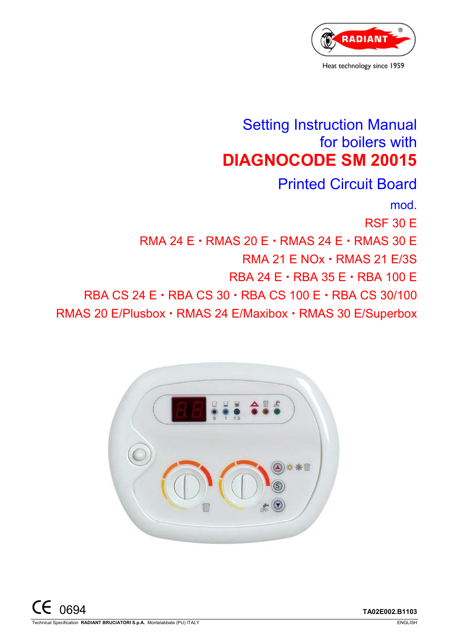

# Setting Instruction Manual for boilers with **DIAGNOCODE SM 20015**

Printed Circuit Board mod. RSF 30 E RMA 24  $E \cdot$  RMAS 20  $E \cdot$  RMAS 24  $E \cdot$  RMAS 30 E  $RMA$  21 E NOx  $\cdot$  RMAS 21 E/3S RBA 24  $E \cdot$  RBA 35  $E \cdot$  RBA 100  $E$ RBA CS 24 E  $\cdot$  RBA CS 30  $\cdot$  RBA CS 100 E  $\cdot$  RBA CS 30/100 RMAS 20 E/Plusbox · RMAS 24 E/Maxibox · RMAS 30 E/Superbox

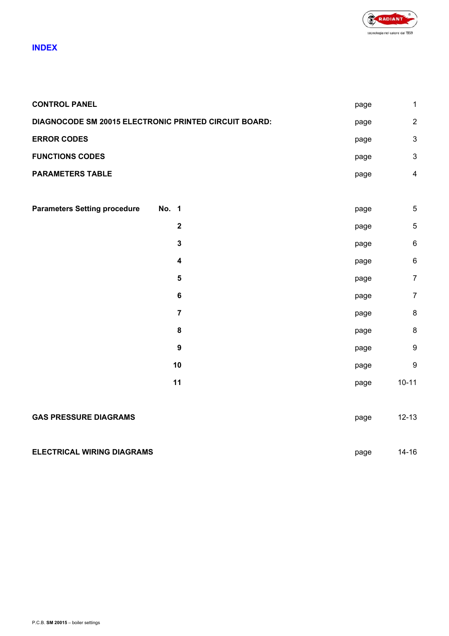

### **INDEX**

| <b>CONTROL PANEL</b>                                  |       |                         | page | $\mathbf{1}$              |
|-------------------------------------------------------|-------|-------------------------|------|---------------------------|
| DIAGNOCODE SM 20015 ELECTRONIC PRINTED CIRCUIT BOARD: |       |                         |      | $\overline{2}$            |
| <b>ERROR CODES</b>                                    |       |                         | page | $\ensuremath{\mathsf{3}}$ |
| <b>FUNCTIONS CODES</b>                                |       |                         | page | $\mathfrak{S}$            |
| <b>PARAMETERS TABLE</b>                               |       |                         | page | $\overline{\mathbf{4}}$   |
|                                                       |       |                         |      |                           |
| <b>Parameters Setting procedure</b>                   | No. 1 |                         | page | 5                         |
|                                                       |       | $\mathbf 2$             | page | $\sqrt{5}$                |
|                                                       |       | $\mathbf{3}$            | page | $\,6\,$                   |
|                                                       |       | $\overline{\mathbf{4}}$ | page | $\,6$                     |
|                                                       |       | 5                       | page | $\overline{7}$            |
|                                                       |       | $\bf 6$                 | page | $\overline{7}$            |
|                                                       |       | $\overline{7}$          | page | $\bf 8$                   |
|                                                       |       | $\bf 8$                 | page | $\bf 8$                   |
|                                                       |       | $\boldsymbol{9}$        | page | $\boldsymbol{9}$          |
|                                                       |       | 10                      | page | $\boldsymbol{9}$          |
|                                                       |       | 11                      | page | $10 - 11$                 |
|                                                       |       |                         |      |                           |
| <b>GAS PRESSURE DIAGRAMS</b><br>page                  |       |                         |      |                           |
|                                                       |       |                         |      |                           |
| <b>ELECTRICAL WIRING DIAGRAMS</b>                     |       |                         |      | $14 - 16$                 |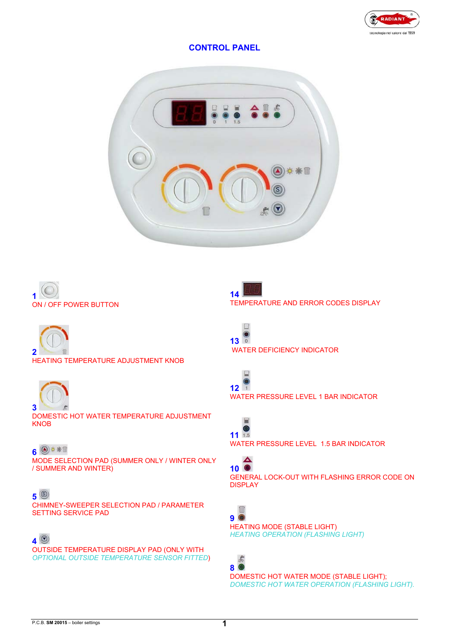

### **CONTROL PANEL**







HEATING TEMPERATURE ADJUSTMENT KNOB



DOMESTIC HOT WATER TEMPERATURE ADJUSTMENT **KNOB** 

### 6<sup><sup>9</sup></sup>

MODE SELECTION PAD (SUMMER ONLY / WINTER ONLY / SUMMER AND WINTER)

#### **5**

CHIMNEY-SWEEPER SELECTION PAD / PARAMETER SETTING SERVICE PAD

### **4**

OUTSIDE TEMPERATURE DISPLAY PAD (ONLY WITH *OPTIONAL OUTSIDE TEMPERATURE SENSOR FITTED*)







WATER PRESSURE LEVEL 1 BAR INDICATOR



WATER PRESSURE LEVEL 1.5 BAR INDICATOR

### **10**

GENERAL LOCK-OUT WITH FLASHING ERROR CODE ON DISPLAY



HEATING MODE (STABLE LIGHT) *HEATING OPERATION (FLASHING LIGHT)* 

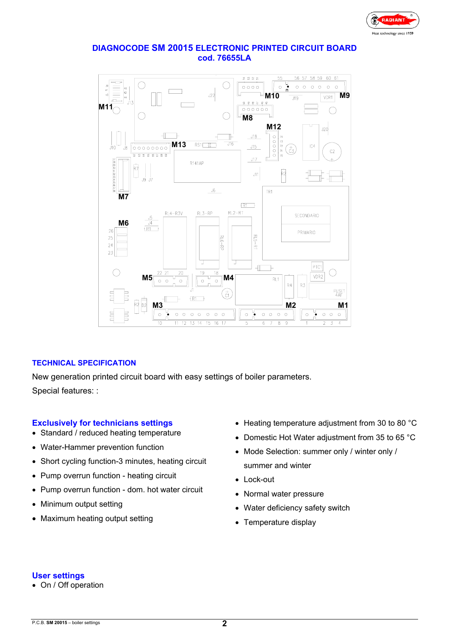

#### **DIAGNOCODE SM 20015 ELECTRONIC PRINTED CIRCUIT BOARD cod. 76655LA**



#### **TECHNICAL SPECIFICATION**

New generation printed circuit board with easy settings of boiler parameters. Special features: :

#### **Exclusively for technicians settings**

- Standard / reduced heating temperature
- Water-Hammer prevention function
- Short cycling function-3 minutes, heating circuit
- Pump overrun function heating circuit
- Pump overrun function dom. hot water circuit
- Minimum output setting
- Maximum heating output setting
- Heating temperature adjustment from 30 to 80 °C
- Domestic Hot Water adjustment from 35 to 65 °C
- Mode Selection: summer only / winter only / summer and winter
- Lock-out
- Normal water pressure
- Water deficiency safety switch
- Temperature display

#### **User settings**

• On / Off operation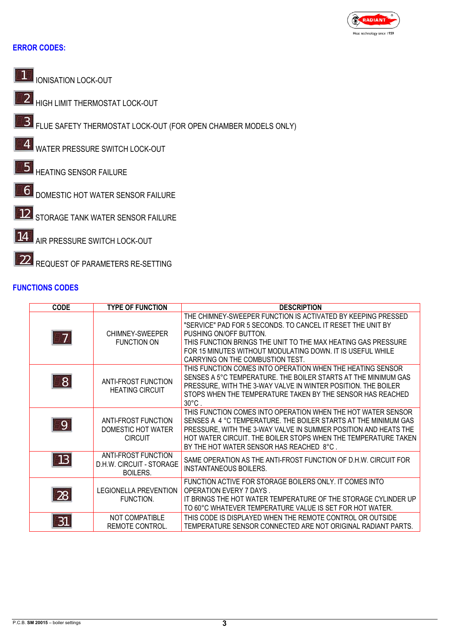

### **ERROR CODES:**



**IONISATION LOCK-OUT** 

HIGH LIMIT THERMOSTAT LOCK-OUT *2*

FLUE SAFETY THERMOSTAT LOCK-OUT (FOR OPEN CHAMBER MODELS ONLY) *3*

WATER PRESSURE SWITCH LOCK-OUT *4*

- **5** HEATING SENSOR FAILURE
- DOMESTIC HOT WATER SENSOR FAILURE *6*

12 STORAGE TANK WATER SENSOR FAILURE

**AIR PRESSURE SWITCH LOCK-OUT** *14*

REQUEST OF PARAMETERS RE-SETTING *22*

### **FUNCTIONS CODES**

| <b>CODE</b>    | <b>TYPE OF FUNCTION</b>                                                   | <b>DESCRIPTION</b>                                                                                                                                                                                                                                                                                                       |
|----------------|---------------------------------------------------------------------------|--------------------------------------------------------------------------------------------------------------------------------------------------------------------------------------------------------------------------------------------------------------------------------------------------------------------------|
| $\overline{7}$ | CHIMNEY-SWEEPER<br><b>FUNCTION ON</b>                                     | THE CHIMNEY-SWEEPER FUNCTION IS ACTIVATED BY KEEPING PRESSED<br>"SERVICE" PAD FOR 5 SECONDS. TO CANCEL IT RESET THE UNIT BY<br>PUSHING ON/OFF BUTTON.<br>THIS FUNCTION BRINGS THE UNIT TO THE MAX HEATING GAS PRESSURE<br>FOR 15 MINUTES WITHOUT MODULATING DOWN. IT IS USEFUL WHILE<br>CARRYING ON THE COMBUSTION TEST. |
| 8 <sup>8</sup> | ANTI-FROST FUNCTION<br><b>HEATING CIRCUIT</b>                             | THIS FUNCTION COMES INTO OPERATION WHEN THE HEATING SENSOR<br>SENSES A 5°C TEMPERATURE. THE BOILER STARTS AT THE MINIMUM GAS<br>PRESSURE, WITH THE 3-WAY VALVE IN WINTER POSITION. THE BOILER<br>STOPS WHEN THE TEMPERATURE TAKEN BY THE SENSOR HAS REACHED<br>$30^{\circ}$ C.                                           |
| $\overline{9}$ | ANTI-FROST FUNCTION<br>DOMESTIC HOT WATER<br><b>CIRCUIT</b>               | THIS FUNCTION COMES INTO OPERATION WHEN THE HOT WATER SENSOR<br>SENSES A 4 °C TEMPERATURE. THE BOILER STARTS AT THE MINIMUM GAS<br>PRESSURE, WITH THE 3-WAY VALVE IN SUMMER POSITION AND HEATS THE<br>HOT WATER CIRCUIT. THE BOILER STOPS WHEN THE TEMPERATURE TAKEN<br>BY THE HOT WATER SENSOR HAS REACHED 8°C.         |
| 13             | <b>ANTI-FROST FUNCTION</b><br>D.H.W. CIRCUIT - STORAGE<br><b>BOILERS.</b> | SAME OPERATION AS THE ANTI-FROST FUNCTION OF D.H.W. CIRCUIT FOR<br><b>INSTANTANEOUS BOILERS.</b>                                                                                                                                                                                                                         |
| 28             | <b>LEGIONELLA PREVENTION</b><br>FUNCTION.                                 | FUNCTION ACTIVE FOR STORAGE BOILERS ONLY. IT COMES INTO<br><b>OPERATION EVERY 7 DAYS.</b><br>IT BRINGS THE HOT WATER TEMPERATURE OF THE STORAGE CYLINDER UP<br>TO 60°C WHATEVER TEMPERATURE VALUE IS SET FOR HOT WATER.                                                                                                  |
| 31             | NOT COMPATIBLE<br>REMOTE CONTROL.                                         | THIS CODE IS DISPLAYED WHEN THE REMOTE CONTROL OR OUTSIDE<br>TEMPERATURE SENSOR CONNECTED ARE NOT ORIGINAL RADIANT PARTS.                                                                                                                                                                                                |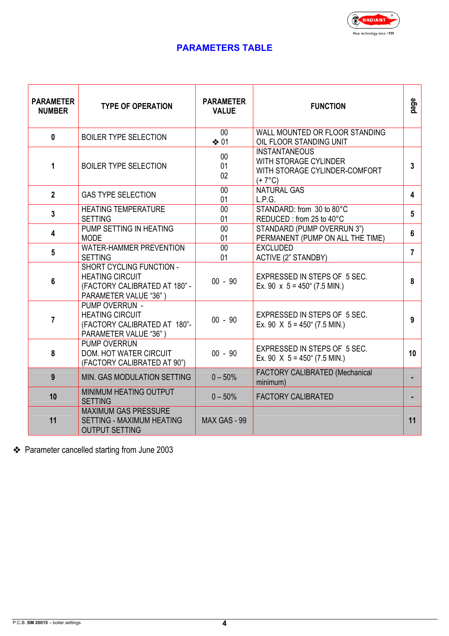

### **PARAMETERS TABLE**

| <b>PARAMETER</b><br><b>NUMBER</b> | <b>TYPE OF OPERATION</b>                                                                                     | <b>PARAMETER</b><br><b>VALUE</b> | <b>FUNCTION</b>                                                                                   | page            |
|-----------------------------------|--------------------------------------------------------------------------------------------------------------|----------------------------------|---------------------------------------------------------------------------------------------------|-----------------|
| $\mathbf 0$                       | <b>BOILER TYPE SELECTION</b>                                                                                 | $00\,$<br>❖ 01                   | WALL MOUNTED OR FLOOR STANDING<br>OIL FLOOR STANDING UNIT                                         |                 |
| 1                                 | <b>BOILER TYPE SELECTION</b>                                                                                 | $00\,$<br>01<br>02               | <b>INSTANTANEOUS</b><br>WITH STORAGE CYLINDER<br>WITH STORAGE CYLINDER-COMFORT<br>$(+7^{\circ}C)$ | $\mathbf{3}$    |
| $\overline{2}$                    | <b>GAS TYPE SELECTION</b>                                                                                    | 00<br>01                         | <b>NATURAL GAS</b><br>L.P.G.                                                                      | $\overline{4}$  |
| $\mathbf{3}$                      | <b>HEATING TEMPERATURE</b><br><b>SETTING</b>                                                                 | $00\,$<br>01                     | STANDARD: from 30 to 80°C<br>REDUCED: from 25 to 40°C                                             | $5\phantom{.0}$ |
| 4                                 | PUMP SETTING IN HEATING<br><b>MODE</b>                                                                       | $00\,$<br>01                     | STANDARD (PUMP OVERRUN 3")<br>PERMANENT (PUMP ON ALL THE TIME)                                    | 6               |
| $5\phantom{.0}$                   | <b>WATER-HAMMER PREVENTION</b><br><b>SETTING</b>                                                             | 00<br>01                         | <b>EXCLUDED</b><br><b>ACTIVE (2" STANDBY)</b>                                                     | $\overline{7}$  |
| $6\phantom{1}$                    | SHORT CYCLING FUNCTION -<br><b>HEATING CIRCUIT</b><br>(FACTORY CALIBRATED AT 180" -<br>PARAMETER VALUE "36") | $00 - 90$                        | EXPRESSED IN STEPS OF 5 SEC.<br>Ex. 90 $\times$ 5 = 450" (7.5 MIN.)                               | 8               |
| 7                                 | PUMP OVERRUN -<br><b>HEATING CIRCUIT</b><br>(FACTORY CALIBRATED AT 180"-<br>PARAMETER VALUE "36")            | $00 - 90$                        | EXPRESSED IN STEPS OF 5 SEC.<br>Ex. 90 $\ X 5 = 450^\circ$ (7.5 MIN.)                             | 9               |
| 8                                 | <b>PUMP OVERRUN</b><br><b>DOM. HOT WATER CIRCUIT</b><br>(FACTORY CALIBRATED AT 90")                          | $00 - 90$                        | EXPRESSED IN STEPS OF 5 SEC.<br>Ex. 90 $\ X 5 = 450^\circ$ (7.5 MIN.)                             | 10              |
| 9                                 | MIN. GAS MODULATION SETTING                                                                                  | $0 - 50%$                        | FACTORY CALIBRATED (Mechanical<br>minimum)                                                        |                 |
| 10                                | MINIMUM HEATING OUTPUT<br><b>SETTING</b>                                                                     | $0 - 50%$                        | <b>FACTORY CALIBRATED</b>                                                                         |                 |
| 11                                | <b>MAXIMUM GAS PRESSURE</b><br>SETTING - MAXIMUM HEATING<br><b>OUTPUT SETTING</b>                            | MAX GAS - 99                     |                                                                                                   | 11              |

Parameter cancelled starting from June 2003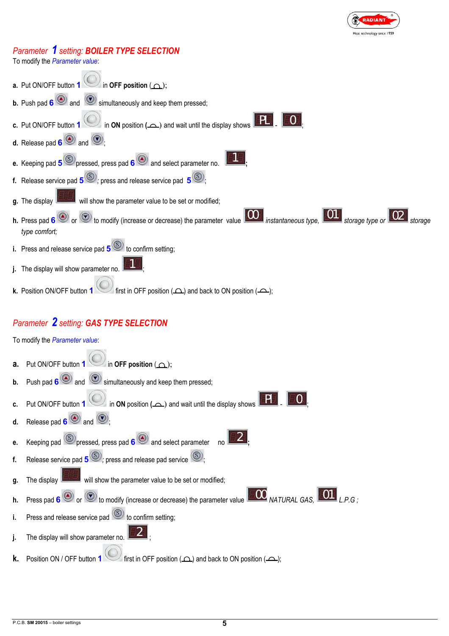

### *Parameter 1 setting: BOILER TYPE SELECTION*

**Contract State** 

To modify the *Parameter value*:

| a. Put ON/OFF button 1 in OFF position $(\triangle)$ ;                                                                                            |
|---------------------------------------------------------------------------------------------------------------------------------------------------|
| <b>b.</b> Push pad $6$ and $\odot$ simultaneously and keep them pressed;                                                                          |
| <b>c.</b> Put ON/OFF button 1 $\bigcirc$ in <b>ON</b> position ( $\bigcirc$ ) and wait until the display shows                                    |
| <b>d.</b> Release pad $\mathbf{6}$ and $\odot$ :                                                                                                  |
| e. Keeping pad $5^\circ$ pressed, press pad $6^\circ$ and select parameter no. $\boxed{615}$ .                                                    |
| <b>f.</b> Release service pad $5^{(s)}$ ; press and release service pad $5^{(s)}$ ;                                                               |
| g. The display <b>EXPANDED</b> will show the parameter value to be set or modified;                                                               |
| h. Press pad 6 or or to modify (increase or decrease) the parameter value 100 instantaneous type, 101 storage type or 02 storage<br>type comfort; |
| i. Press and release service pad $5^\circ$ to confirm setting;                                                                                    |
| j. The display will show parameter no. $\blacksquare$                                                                                             |
| $\bullet$ first in OFF position ( $\frown$ ) and back to ON position ( $\frown$ );<br>k. Position ON/OFF button 1                                 |
| Parameter 2 setting: GAS TYPE SELECTION                                                                                                           |
| To modify the Parameter value:                                                                                                                    |
|                                                                                                                                                   |

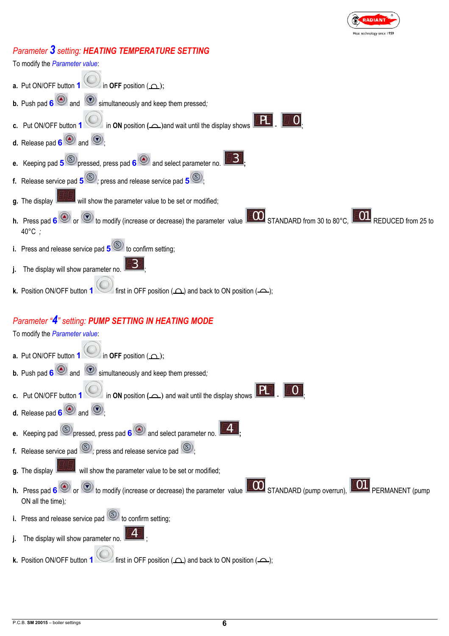

### *Parameter 3 setting: HEATING TEMPERATURE SETTING*

To modify the *Parameter value*: **a.** Put ON/OFF button **1** in **OFF** position  $($ **b.** Push pad **6** and **b** simultaneously and keep them pressed; **c.** Put ON/OFF button **1** in **ON** position ( $\triangle$ )and wait until the display shows **d.** Release pad  $\bullet$  **and**  $\bullet$ : **e.** Keeping pad  $\overline{5}$  **S** pressed, press pad **6** and select parameter no. **f.** Release service pad  $\overline{5}$  **b** ress and release service pad  $\overline{5}$ **g.** The display **the light of the parameter value to be set or modified; h.** Press pad 6<sup>(a)</sup> or  $\odot$  to modify (increase or decrease) the parameter value **COO** STANDARD from 30 to 80°C, **COO** REDUCED from 25 to 40°C *;* **i.** Press and release service pad  $\overline{5}$ <sup>(S)</sup> to confirm setting: **j.** The display will show parameter no. **k.** Position ON/OFF button **1** first in OFF position  $($  $\Omega$ ) and back to ON position  $($  $\Omega$ ); *Parameter "4" setting: PUMP SETTING IN HEATING MODE* To modify the *Parameter value*: *PL 0 3 3*

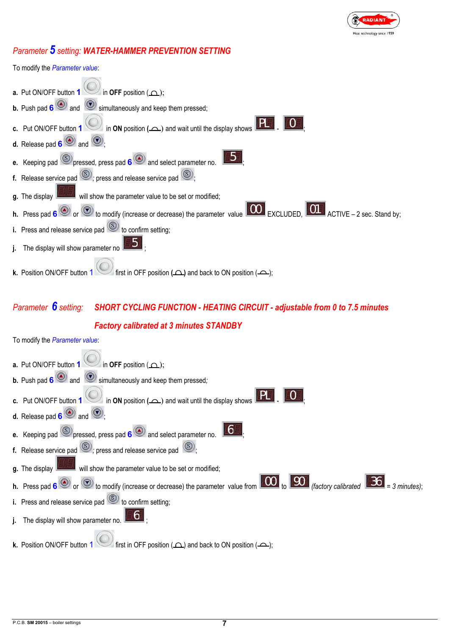

### *Parameter 5 setting: WATER-HAMMER PREVENTION SETTING*



## *Parameter 6 setting: SHORT CYCLING FUNCTION - HEATING CIRCUIT - adjustable from 0 to 7.5 minutes Factory calibrated at 3 minutes STANDBY*

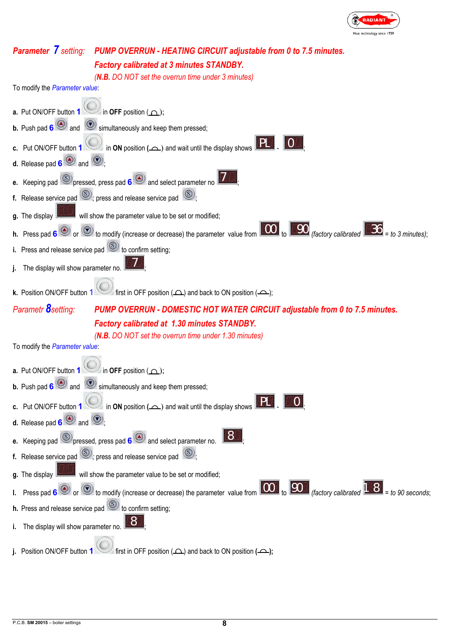

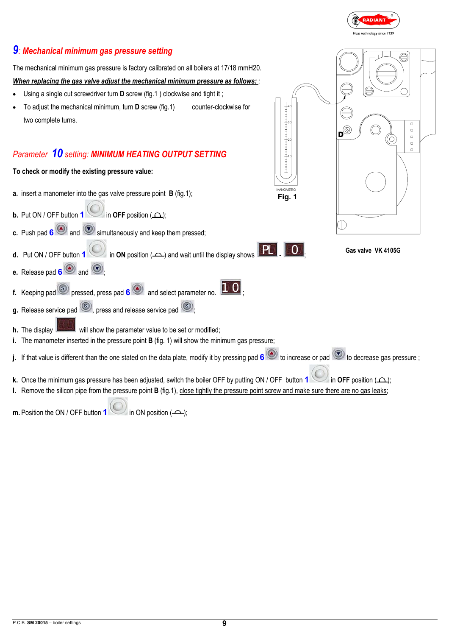

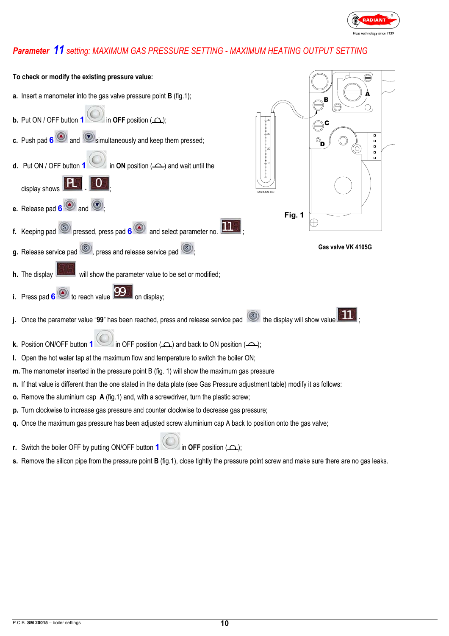

### *Parameter 11 setting: MAXIMUM GAS PRESSURE SETTING - MAXIMUM HEATING OUTPUT SETTING*



**r.** Switch the boiler OFF by putting ON/OFF button **1** in **OFF** position  $($ 

**s.** Remove the silicon pipe from the pressure point **B** (fig.1), close tightly the pressure point screw and make sure there are no gas leaks.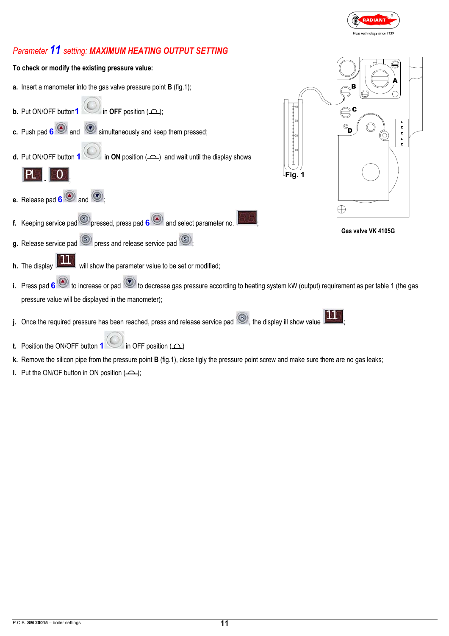

### *Parameter 11 setting: MAXIMUM HEATING OUTPUT SETTING*



- **t.** Position the ON/OFF button **1** in OFF position ( $\Omega$ )
- **k.** Remove the silicon pipe from the pressure point **B** (fig.1), close tigly the pressure point screw and make sure there are no gas leaks;
- **l.** Put the ON/OF button in ON position  $($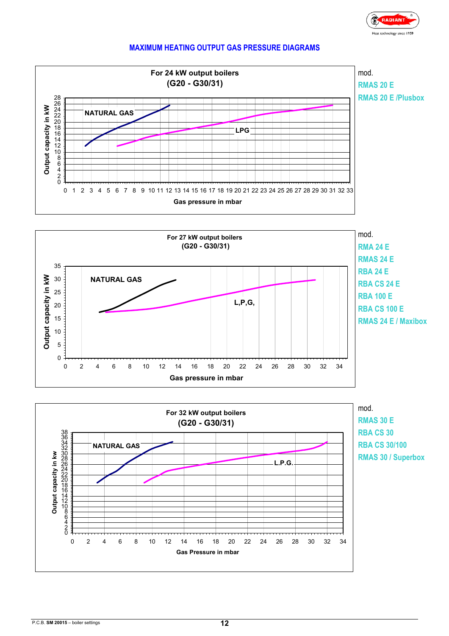

### **MAXIMUM HEATING OUTPUT GAS PRESSURE DIAGRAMS**

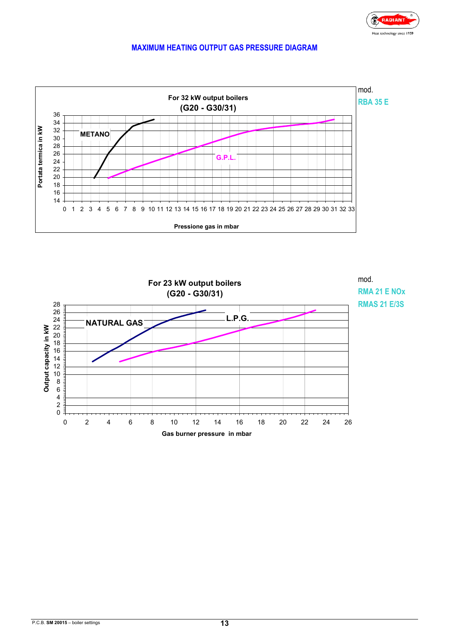### **MAXIMUM HEATING OUTPUT GAS PRESSURE DIAGRAM**



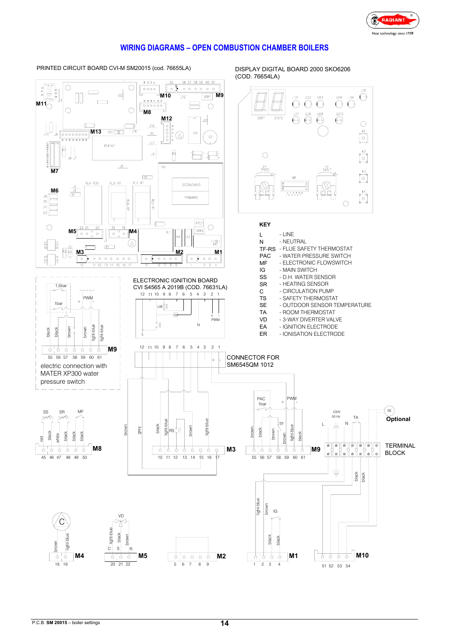

### **WIRING DIAGRAMS – OPEN COMBUSTION CHAMBER BOILERS**

PRINTED CIRCUIT BOARD CVI-M SM20015 (cod. 76655LA)

DISPLAY DIGITAL BOARD 2000 SKO6206 (COD. 76654LA)

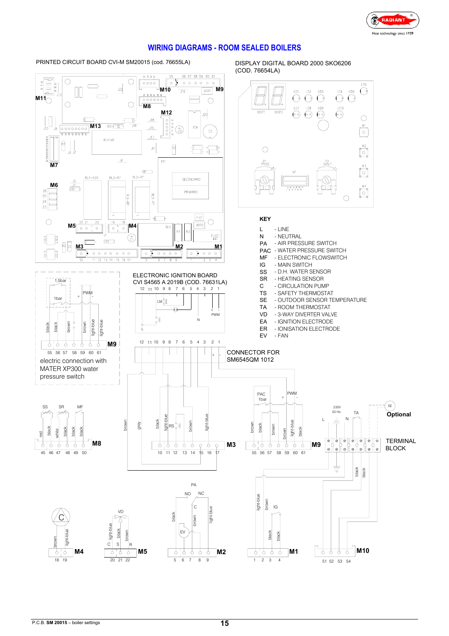

### **WIRING DIAGRAMS - ROOM SEALED BOILERS**

PRINTED CIRCUIT BOARD CVI-M SM20015 (cod. 76655LA)

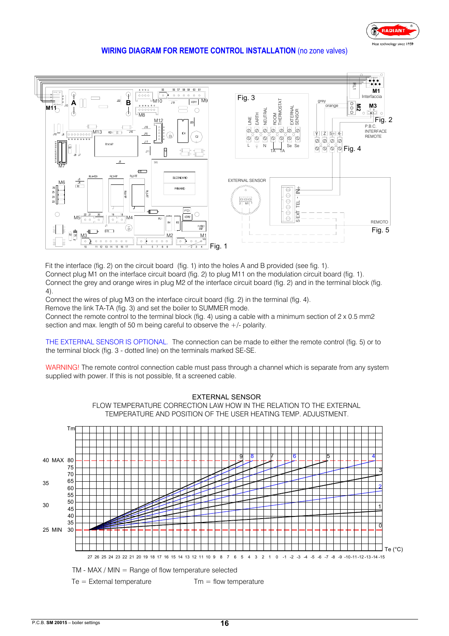

#### **WIRING DIAGRAM FOR REMOTE CONTROL INSTALLATION** (no zone valves)



Fit the interface (fig. 2) on the circuit board (fig. 1) into the holes A and B provided (see fig. 1). Connect plug M1 on the interface circuit board (fig. 2) to plug M11 on the modulation circuit board (fig. 1). Connect the grey and orange wires in plug M2 of the interface circuit board (fig. 2) and in the terminal block (fig. 4).

Connect the wires of plug M3 on the interface circuit board (fig. 2) in the terminal (fig. 4).

Remove the link TA-TA (fig. 3) and set the boiler to SUMMER mode.

Connect the remote control to the terminal block (fig. 4) using a cable with a minimum section of  $2 \times 0.5$  mm2 section and max. length of 50 m being careful to observe the +/- polarity.

THE EXTERNAL SENSOR IS OPTIONAL. The connection can be made to either the remote control (fig. 5) or to the terminal block (fig. 3 - dotted line) on the terminals marked SE-SE.

WARNING! The remote control connection cable must pass through a channel which is separate from any system supplied with power. If this is not possible, fit a screened cable.